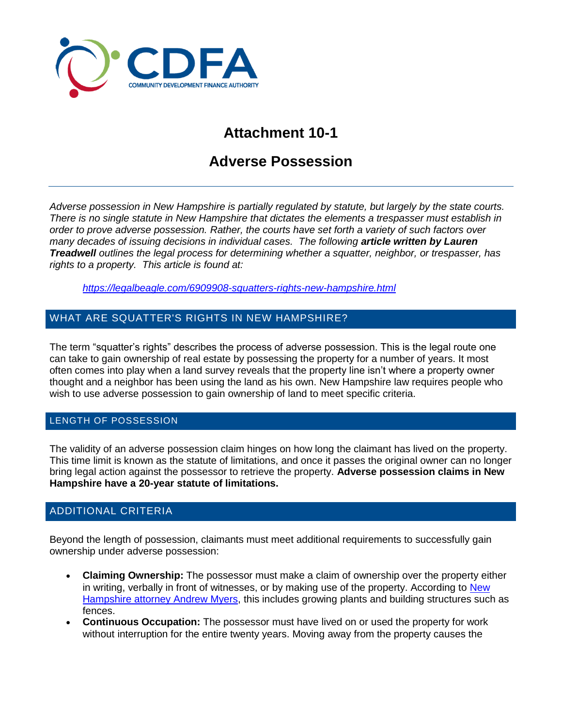

# **Attachment 10-1**

# **Adverse Possession**

*Adverse possession in New Hampshire is partially regulated by statute, but largely by the state courts. There is no single statute in New Hampshire that dictates the elements a trespasser must establish in order to prove adverse possession. Rather, the courts have set forth a variety of such factors over many decades of issuing decisions in individual cases. The following article written by Lauren Treadwell outlines the legal process for determining whether a squatter, neighbor, or trespasser, has rights to a property. This article is found at:*

*<https://legalbeagle.com/6909908-squatters-rights-new-hampshire.html>*

## WHAT ARE SQUATTER'S RIGHTS IN NEW HAMPSHIRE?

The term "squatter's rights" describes the process of adverse possession. This is the legal route one can take to gain ownership of real estate by possessing the property for a number of years. It most often comes into play when a land survey reveals that the property line isn't where a property owner thought and a neighbor has been using the land as his own. New Hampshire law requires people who wish to use adverse possession to gain ownership of land to meet specific criteria.

#### LENGTH OF POSSESSION

The validity of an adverse possession claim hinges on how long the claimant has lived on the property. This time limit is known as the statute of limitations, and once it passes the original owner can no longer bring legal action against the possessor to retrieve the property. **Adverse possession claims in New Hampshire have a 20-year statute of limitations.**

### ADDITIONAL CRITERIA

Beyond the length of possession, claimants must meet additional requirements to successfully gain ownership under adverse possession:

- **Claiming Ownership:** The possessor must make a claim of ownership over the property either in writing, verbally in front of witnesses, or by making use of the property. According to New [Hampshire attorney Andrew Myers,](http://www.nashualaw.com/resources/Legal-Articles/legal-article-archive/Real-Estate/Record_Title_Does_Not_Always_Establish_Ownership_of_Real_Estate_in_New_Hampshire.aspx) this includes growing plants and building structures such as fences.
- **Continuous Occupation:** The possessor must have lived on or used the property for work without interruption for the entire twenty years. Moving away from the property causes the